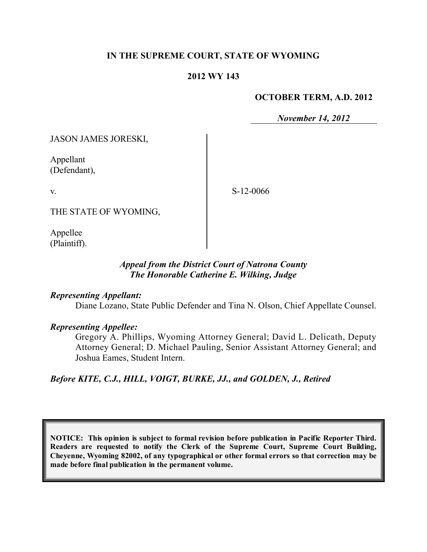### **IN THE SUPREME COURT, STATE OF WYOMING**

#### **2012 WY 143**

#### **OCTOBER TERM, A.D. 2012**

*November 14, 2012*

JASON JAMES JORESKI,

Appellant (Defendant),

v.

S-12-0066

THE STATE OF WYOMING,

Appellee (Plaintiff).

### *Appeal from the District Court of Natrona County The Honorable Catherine E. Wilking, Judge*

#### *Representing Appellant:*

Diane Lozano, State Public Defender and Tina N. Olson, Chief Appellate Counsel.

#### *Representing Appellee:*

Gregory A. Phillips, Wyoming Attorney General; David L. Delicath, Deputy Attorney General; D. Michael Pauling, Senior Assistant Attorney General; and Joshua Eames, Student Intern.

*Before KITE, C.J., HILL, VOIGT, BURKE, JJ., and GOLDEN, J., Retired*

**NOTICE: This opinion is subject to formal revision before publication in Pacific Reporter Third. Readers are requested to notify the Clerk of the Supreme Court, Supreme Court Building, Cheyenne, Wyoming 82002, of any typographical or other formal errors so that correction may be made before final publication in the permanent volume.**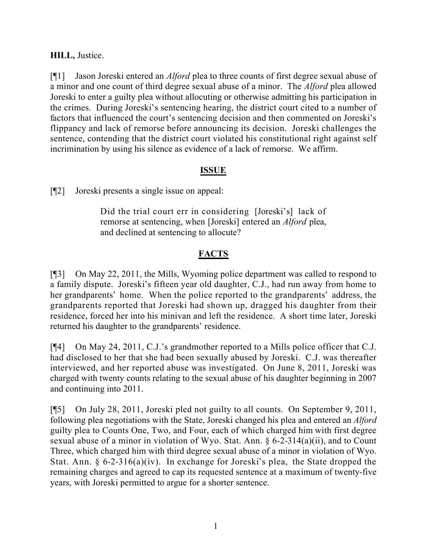# **HILL,** Justice.

[¶1] Jason Joreski entered an *Alford* plea to three counts of first degree sexual abuse of a minor and one count of third degree sexual abuse of a minor. The *Alford* plea allowed Joreski to enter a guilty plea without allocuting or otherwise admitting his participation in the crimes. During Joreski's sentencing hearing, the district court cited to a number of factors that influenced the court's sentencing decision and then commented on Joreski's flippancy and lack of remorse before announcing its decision. Joreski challenges the sentence, contending that the district court violated his constitutional right against self incrimination by using his silence as evidence of a lack of remorse. We affirm.

# **ISSUE**

[¶2] Joreski presents a single issue on appeal:

Did the trial court err in considering [Joreski's] lack of remorse at sentencing, when [Joreski] entered an *Alford* plea, and declined at sentencing to allocute?

# **FACTS**

[¶3] On May 22, 2011, the Mills, Wyoming police department was called to respond to a family dispute. Joreski's fifteen year old daughter, C.J., had run away from home to her grandparents' home. When the police reported to the grandparents' address, the grandparents reported that Joreski had shown up, dragged his daughter from their residence, forced her into his minivan and left the residence. A short time later, Joreski returned his daughter to the grandparents' residence.

[¶4] On May 24, 2011, C.J.'s grandmother reported to a Mills police officer that C.J. had disclosed to her that she had been sexually abused by Joreski. C.J. was thereafter interviewed, and her reported abuse was investigated. On June 8, 2011, Joreski was charged with twenty counts relating to the sexual abuse of his daughter beginning in 2007 and continuing into 2011.

[¶5] On July 28, 2011, Joreski pled not guilty to all counts. On September 9, 2011, following plea negotiations with the State, Joreski changed his plea and entered an *Alford* guilty plea to Counts One, Two, and Four, each of which charged him with first degree sexual abuse of a minor in violation of Wyo. Stat. Ann.  $\S 6$ -2-314(a)(ii), and to Count Three, which charged him with third degree sexual abuse of a minor in violation of Wyo. Stat. Ann. § 6-2-316(a)(iv). In exchange for Joreski's plea, the State dropped the remaining charges and agreed to cap its requested sentence at a maximum of twenty-five years, with Joreski permitted to argue for a shorter sentence.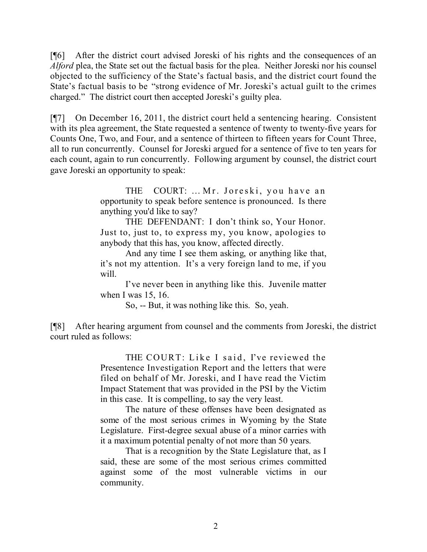[¶6] After the district court advised Joreski of his rights and the consequences of an *Alford* plea, the State set out the factual basis for the plea. Neither Joreski nor his counsel objected to the sufficiency of the State's factual basis, and the district court found the State's factual basis to be "strong evidence of Mr. Joreski's actual guilt to the crimes charged." The district court then accepted Joreski's guilty plea.

[¶7] On December 16, 2011, the district court held a sentencing hearing. Consistent with its plea agreement, the State requested a sentence of twenty to twenty-five years for Counts One, Two, and Four, and a sentence of thirteen to fifteen years for Count Three, all to run concurrently. Counsel for Joreski argued for a sentence of five to ten years for each count, again to run concurrently. Following argument by counsel, the district court gave Joreski an opportunity to speak:

> THE COURT: … Mr. Joreski, you have an opportunity to speak before sentence is pronounced. Is there anything you'd like to say?

> THE DEFENDANT: I don't think so, Your Honor. Just to, just to, to express my, you know, apologies to anybody that this has, you know, affected directly.

> And any time I see them asking, or anything like that, it's not my attention. It's a very foreign land to me, if you will.

> I've never been in anything like this. Juvenile matter when I was 15, 16.

So, -- But, it was nothing like this. So, yeah.

[¶8] After hearing argument from counsel and the comments from Joreski, the district court ruled as follows:

> THE COURT: Like I said, I've reviewed the Presentence Investigation Report and the letters that were filed on behalf of Mr. Joreski, and I have read the Victim Impact Statement that was provided in the PSI by the Victim in this case. It is compelling, to say the very least.

> The nature of these offenses have been designated as some of the most serious crimes in Wyoming by the State Legislature. First-degree sexual abuse of a minor carries with it a maximum potential penalty of not more than 50 years.

> That is a recognition by the State Legislature that, as I said, these are some of the most serious crimes committed against some of the most vulnerable victims in our community.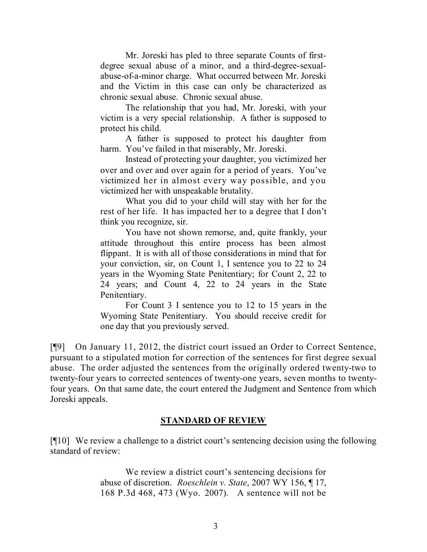Mr. Joreski has pled to three separate Counts of firstdegree sexual abuse of a minor, and a third-degree-sexualabuse-of-a-minor charge. What occurred between Mr. Joreski and the Victim in this case can only be characterized as chronic sexual abuse. Chronic sexual abuse.

The relationship that you had, Mr. Joreski, with your victim is a very special relationship. A father is supposed to protect his child.

A father is supposed to protect his daughter from harm. You've failed in that miserably, Mr. Joreski.

Instead of protecting your daughter, you victimized her over and over and over again for a period of years. You've victimized her in almost every way possible, and you victimized her with unspeakable brutality.

What you did to your child will stay with her for the rest of her life. It has impacted her to a degree that I don't think you recognize, sir.

You have not shown remorse, and, quite frankly, your attitude throughout this entire process has been almost flippant. It is with all of those considerations in mind that for your conviction, sir, on Count 1, I sentence you to 22 to 24 years in the Wyoming State Penitentiary; for Count 2, 22 to 24 years; and Count 4, 22 to 24 years in the State Penitentiary.

For Count 3 I sentence you to 12 to 15 years in the Wyoming State Penitentiary. You should receive credit for one day that you previously served.

[¶9] On January 11, 2012, the district court issued an Order to Correct Sentence, pursuant to a stipulated motion for correction of the sentences for first degree sexual abuse. The order adjusted the sentences from the originally ordered twenty-two to twenty-four years to corrected sentences of twenty-one years, seven months to twentyfour years. On that same date, the court entered the Judgment and Sentence from which Joreski appeals.

## **STANDARD OF REVIEW**

[¶10] We review a challenge to a district court's sentencing decision using the following standard of review:

> We review a district court's sentencing decisions for abuse of discretion. *Roeschlein v. State*, 2007 WY 156, ¶ 17, 168 P.3d 468, 473 (Wyo. 2007). A sentence will not be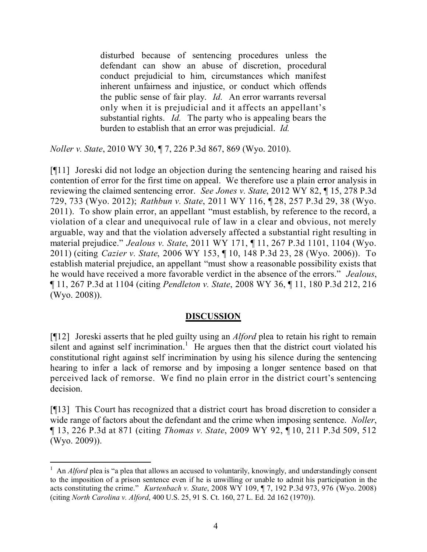disturbed because of sentencing procedures unless the defendant can show an abuse of discretion, procedural conduct prejudicial to him, circumstances which manifest inherent unfairness and injustice, or conduct which offends the public sense of fair play. *Id.* An error warrants reversal only when it is prejudicial and it affects an appellant's substantial rights. *Id.* The party who is appealing bears the burden to establish that an error was prejudicial. *Id.*

*Noller v. State*, 2010 WY 30, ¶ 7, 226 P.3d 867, 869 (Wyo. 2010).

[¶11] Joreski did not lodge an objection during the sentencing hearing and raised his contention of error for the first time on appeal. We therefore use a plain error analysis in reviewing the claimed sentencing error. *See Jones v. State*, 2012 WY 82, ¶ 15, 278 P.3d 729, 733 (Wyo. 2012); *Rathbun v. State*, 2011 WY 116, ¶ 28, 257 P.3d 29, 38 (Wyo. 2011). To show plain error, an appellant "must establish, by reference to the record, a violation of a clear and unequivocal rule of law in a clear and obvious, not merely arguable, way and that the violation adversely affected a substantial right resulting in material prejudice." *Jealous v. State*, 2011 WY 171, ¶ 11, 267 P.3d 1101, 1104 (Wyo. 2011) (citing *Cazier v. State*, 2006 WY 153, ¶ 10, 148 P.3d 23, 28 (Wyo. 2006)). To establish material prejudice, an appellant "must show a reasonable possibility exists that he would have received a more favorable verdict in the absence of the errors." *Jealous*, ¶ 11, 267 P.3d at 1104 (citing *Pendleton v. State*, 2008 WY 36, ¶ 11, 180 P.3d 212, 216 (Wyo. 2008)).

## **DISCUSSION**

[¶12] Joreski asserts that he pled guilty using an *Alford* plea to retain his right to remain silent and against self incrimination.<sup>1</sup> He argues then that the district court violated his constitutional right against self incrimination by using his silence during the sentencing hearing to infer a lack of remorse and by imposing a longer sentence based on that perceived lack of remorse. We find no plain error in the district court's sentencing decision.

[¶13] This Court has recognized that a district court has broad discretion to consider a wide range of factors about the defendant and the crime when imposing sentence. *Noller*, ¶ 13, 226 P.3d at 871 (citing *Thomas v. State*, 2009 WY 92, ¶ 10, 211 P.3d 509, 512 (Wyo. 2009)).

 $\overline{a}$ 

<sup>&</sup>lt;sup>1</sup> An *Alford* plea is "a plea that allows an accused to voluntarily, knowingly, and understandingly consent to the imposition of a prison sentence even if he is unwilling or unable to admit his participation in the acts constituting the crime." *Kurtenbach v. State*, 2008 WY 109, ¶ 7, 192 P.3d 973, 976 (Wyo. 2008) (citing *North Carolina v. Alford*, 400 U.S. 25, 91 S. Ct. 160, 27 L. Ed. 2d 162 (1970)).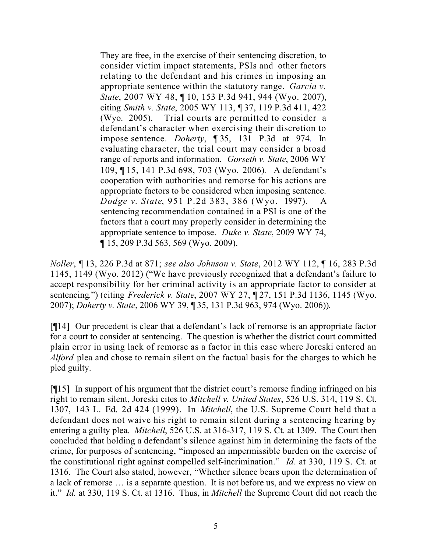They are free, in the exercise of their sentencing discretion, to consider victim impact statements, PSIs and other factors relating to the defendant and his crimes in imposing an appropriate sentence within the statutory range. *Garcia v. State*, 2007 WY 48, ¶ 10, 153 P.3d 941, 944 (Wyo. 2007), citing *Smith v. State*, 2005 WY 113, ¶ 37, 119 P.3d 411, 422 (Wyo. 2005). Trial courts are permitted to consider a defendant's character when exercising their discretion to impose sentence. *Doherty*, ¶ 35, 131 P.3d at 974. In evaluating character, the trial court may consider a broad range of reports and information. *Gorseth v. State*, 2006 WY 109, ¶ 15, 141 P.3d 698, 703 (Wyo. 2006). A defendant's cooperation with authorities and remorse for his actions are appropriate factors to be considered when imposing sentence. *Dodge v. State*, 951 P.2d 383, 386 (Wyo. 1997). sentencing recommendation contained in a PSI is one of the factors that a court may properly consider in determining the appropriate sentence to impose. *Duke v. State*, 2009 WY 74, ¶ 15, 209 P.3d 563, 569 (Wyo. 2009).

*Noller*, ¶ 13, 226 P.3d at 871; *see also Johnson v. State*, 2012 WY 112, ¶ 16, 283 P.3d 1145, 1149 (Wyo. 2012) ("We have previously recognized that a defendant's failure to accept responsibility for her criminal activity is an appropriate factor to consider at sentencing.") (citing *Frederick v. State*, 2007 WY 27, ¶ 27, 151 P.3d 1136, 1145 (Wyo. 2007); *Doherty v. State*, 2006 WY 39, ¶ 35, 131 P.3d 963, 974 (Wyo. 2006)).

[¶14] Our precedent is clear that a defendant's lack of remorse is an appropriate factor for a court to consider at sentencing. The question is whether the district court committed plain error in using lack of remorse as a factor in this case where Joreski entered an *Alford* plea and chose to remain silent on the factual basis for the charges to which he pled guilty.

[¶15] In support of his argument that the district court's remorse finding infringed on his right to remain silent, Joreski cites to *Mitchell v. United States*, 526 U.S. 314, 119 S. Ct. 1307, 143 L. Ed. 2d 424 (1999). In *Mitchell*, the U.S. Supreme Court held that a defendant does not waive his right to remain silent during a sentencing hearing by entering a guilty plea. *Mitchell*, 526 U.S. at 316-317, 119 S. Ct. at 1309. The Court then concluded that holding a defendant's silence against him in determining the facts of the crime, for purposes of sentencing, "imposed an impermissible burden on the exercise of the constitutional right against compelled self-incrimination." *Id*. at 330, 119 S. Ct. at 1316. The Court also stated, however, "Whether silence bears upon the determination of a lack of remorse … is a separate question. It is not before us, and we express no view on it." *Id.* at 330, 119 S. Ct. at 1316. Thus, in *Mitchell* the Supreme Court did not reach the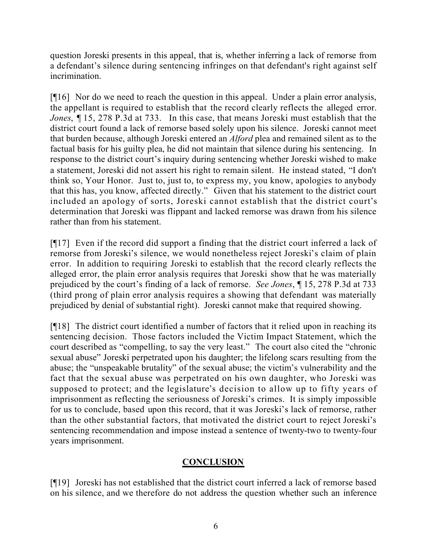question Joreski presents in this appeal, that is, whether inferring a lack of remorse from a defendant's silence during sentencing infringes on that defendant's right against self incrimination.

[¶16] Nor do we need to reach the question in this appeal. Under a plain error analysis, the appellant is required to establish that the record clearly reflects the alleged error. *Jones*, ¶ 15, 278 P.3d at 733. In this case, that means Joreski must establish that the district court found a lack of remorse based solely upon his silence. Joreski cannot meet that burden because, although Joreski entered an *Alford* plea and remained silent as to the factual basis for his guilty plea, he did not maintain that silence during his sentencing. In response to the district court's inquiry during sentencing whether Joreski wished to make a statement, Joreski did not assert his right to remain silent. He instead stated, "I don't think so, Your Honor. Just to, just to, to express my, you know, apologies to anybody that this has, you know, affected directly." Given that his statement to the district court included an apology of sorts, Joreski cannot establish that the district court's determination that Joreski was flippant and lacked remorse was drawn from his silence rather than from his statement.

[¶17] Even if the record did support a finding that the district court inferred a lack of remorse from Joreski's silence, we would nonetheless reject Joreski's claim of plain error. In addition to requiring Joreski to establish that the record clearly reflects the alleged error, the plain error analysis requires that Joreski show that he was materially prejudiced by the court's finding of a lack of remorse. *See Jones*, ¶ 15, 278 P.3d at 733 (third prong of plain error analysis requires a showing that defendant was materially prejudiced by denial of substantial right). Joreski cannot make that required showing.

[¶18] The district court identified a number of factors that it relied upon in reaching its sentencing decision. Those factors included the Victim Impact Statement, which the court described as "compelling, to say the very least." The court also cited the "chronic sexual abuse" Joreski perpetrated upon his daughter; the lifelong scars resulting from the abuse; the "unspeakable brutality" of the sexual abuse; the victim's vulnerability and the fact that the sexual abuse was perpetrated on his own daughter, who Joreski was supposed to protect; and the legislature's decision to allow up to fifty years of imprisonment as reflecting the seriousness of Joreski's crimes. It is simply impossible for us to conclude, based upon this record, that it was Joreski's lack of remorse, rather than the other substantial factors, that motivated the district court to reject Joreski's sentencing recommendation and impose instead a sentence of twenty-two to twenty-four years imprisonment.

# **CONCLUSION**

[¶19] Joreski has not established that the district court inferred a lack of remorse based on his silence, and we therefore do not address the question whether such an inference